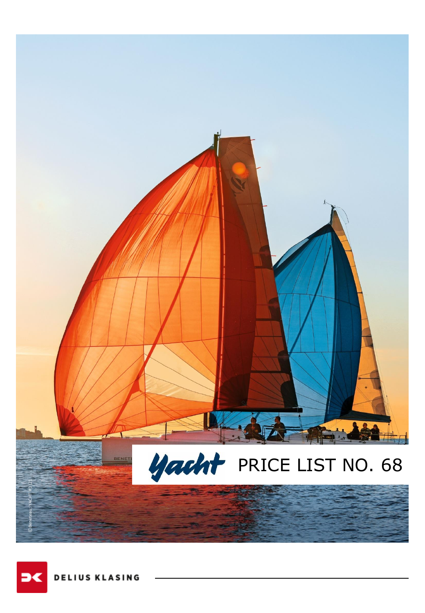

**DELIUS KLASING**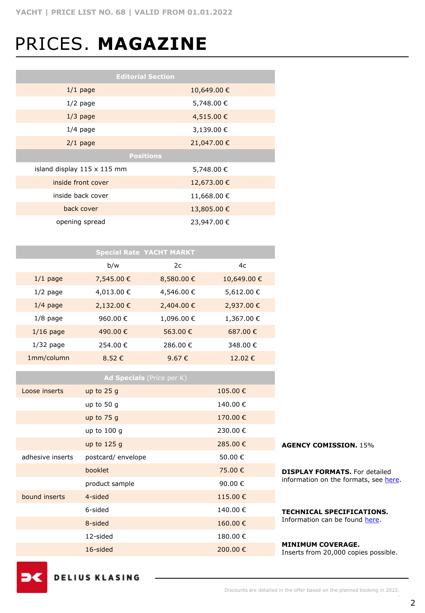## PRICES. **MAGAZINE**

| <b>Editorial Section</b>           |                  |  |  |  |  |
|------------------------------------|------------------|--|--|--|--|
| $1/1$ page                         | 10,649.00 €      |  |  |  |  |
| $1/2$ page                         | 5,748.00 €       |  |  |  |  |
| $1/3$ page                         | 4,515.00 €       |  |  |  |  |
| $1/4$ page                         | 3,139.00 €       |  |  |  |  |
| $2/1$ page                         | 21,047.00 €      |  |  |  |  |
|                                    | <b>Positions</b> |  |  |  |  |
| island display $115 \times 115$ mm | 5,748.00 €       |  |  |  |  |
| inside front cover                 | 12,673.00 €      |  |  |  |  |
| inside back cover                  | 11,668.00 €      |  |  |  |  |
| back cover                         | 13,805.00 €      |  |  |  |  |
| opening spread                     | 23,947.00 €      |  |  |  |  |

|             | <b>Special Rate YACHT MARKT</b> |            |            |
|-------------|---------------------------------|------------|------------|
|             | b/w                             | 2c         | 4c         |
| $1/1$ page  | 7,545.00 €                      | 8,580.00 € | 10,649.00€ |
| $1/2$ page  | 4,013.00 €                      | 4,546.00 € | 5,612.00€  |
| $1/4$ page  | 2,132.00 €                      | 2,404.00 € | 2,937.00 € |
| $1/8$ page  | 960.00€                         | 1,096.00€  | 1,367.00€  |
| $1/16$ page | 490.00€                         | 563.00 €   | 687.00 €   |
| $1/32$ page | 254.00€                         | 286.00€    | 348.00 €   |
| 1mm/column  | 8.52€                           | 9.67€      | 12.02€     |

|                  | <b>Ad Specials</b> (Price per K) |          |                                                                  |
|------------------|----------------------------------|----------|------------------------------------------------------------------|
| Loose inserts    | up to $25q$                      | 105.00€  |                                                                  |
|                  | up to 50 $q$                     | 140.00 € |                                                                  |
|                  | up to $75q$                      | 170.00 € |                                                                  |
|                  | up to $100q$                     | 230.00 € |                                                                  |
|                  | up to $125q$                     | 285,00€  | <b>AGENCY COMISSION. 15%</b>                                     |
| adhesive inserts | postcard/envelope                | 50.00 €  |                                                                  |
|                  | booklet                          | 75.00 €  | <b>DISPLAY FORMATS.</b> For detailed                             |
|                  | product sample                   | 90.00 €  | information on the formats, see here.                            |
| bound inserts    | 4-sided                          | 115.00€  |                                                                  |
|                  | 6-sided                          | 140.00 € | <b>TECHNICAL SPECIFICATIONS.</b>                                 |
|                  | 8-sided                          | 160,00€  | Information can be found here.                                   |
|                  | 12-sided                         | 180.00€  |                                                                  |
|                  | 16-sided                         | 200,00€  | <b>MINIMUM COVERAGE.</b><br>Inserts from 20,000 copies possible. |
|                  |                                  |          |                                                                  |

ЭC

**DELIUS KLASING**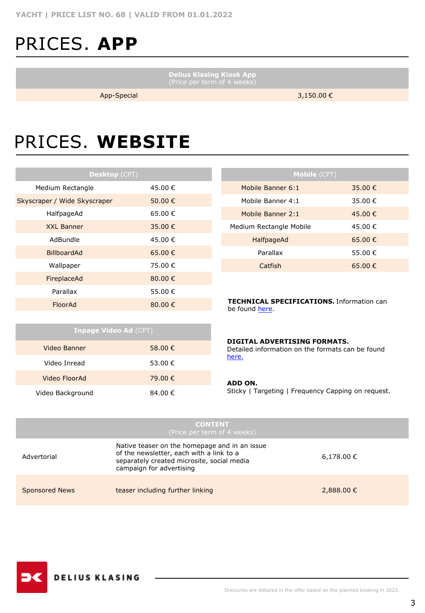## PRICES. **APP**

**Delius Klasing Kiosk App**

App-Special 3,150.00 €

### PRICES. **WEBSITE**

| Desktop (CPT) |  |  |  |  |  |  |
|---------------|--|--|--|--|--|--|
| 45.00 €       |  |  |  |  |  |  |
| 50.00€        |  |  |  |  |  |  |
| 65.00 €       |  |  |  |  |  |  |
| 35.00 €       |  |  |  |  |  |  |
| 45.00 €       |  |  |  |  |  |  |
| 65.00 €       |  |  |  |  |  |  |
| 75.00 €       |  |  |  |  |  |  |
| 80.00 $\in$   |  |  |  |  |  |  |
| 55.00 €       |  |  |  |  |  |  |
| 80.00 €       |  |  |  |  |  |  |
|               |  |  |  |  |  |  |

**Inpage Video Ad** (CPT)

Video Banner 58.00 € Video Inread 53.00 € Video FloorAd 79.00 € Video Background 84.00 €

| Mobile (CPT)            |         |  |  |  |  |
|-------------------------|---------|--|--|--|--|
| Mobile Banner 6:1       | 35.00 € |  |  |  |  |
| Mobile Banner 4:1       | 35.00 € |  |  |  |  |
| Mobile Banner 2:1       | 45.00€  |  |  |  |  |
| Medium Rectangle Mobile | 45.00 € |  |  |  |  |
| HalfpageAd              | 65.00 € |  |  |  |  |
| Parallax                | 55.00 € |  |  |  |  |
| Catfish                 | 65.00 € |  |  |  |  |
|                         |         |  |  |  |  |

**TECHNICAL SPECIFICATIONS.** Information can be found [here](https://www.dk-mediasales.de/spezifikationen-digital).

|  |  |  |  |  | DIGITAL ADVERTISING FORMATS. |
|--|--|--|--|--|------------------------------|
|  |  |  |  |  |                              |

Detailed information on the formats can be found [here.](https://www.dk-mediasales.de/digital-formate)

#### **ADD ON.**

Sticky | Targeting | Frequency Capping on request.

|                       | <b>CONTENT</b><br>(Price per term of 4 weeks)                                                                                                                       |                |
|-----------------------|---------------------------------------------------------------------------------------------------------------------------------------------------------------------|----------------|
| Advertorial           | Native teaser on the homepage and in an issue<br>of the newsletter, each with a link to a<br>separately created microsite, social media<br>campaign for advertising | $6,178.00 \in$ |
| <b>Sponsored News</b> | teaser including further linking                                                                                                                                    | 2,888.00 €     |

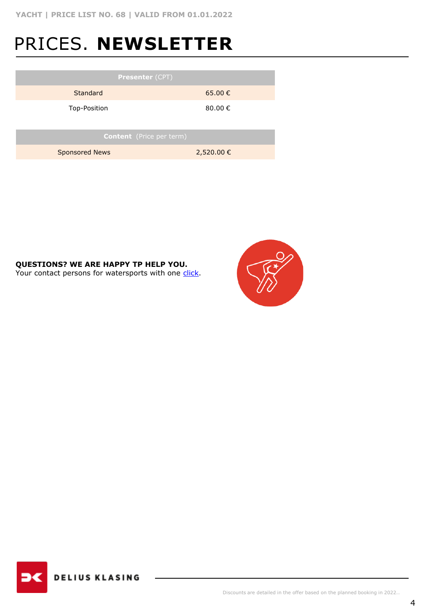#### PRICES. **NEWSLETTER**

| <b>Presenter (CPT)</b>          |                  |  |  |  |
|---------------------------------|------------------|--|--|--|
| Standard                        | 65.00€           |  |  |  |
| Top-Position                    | 80.00 $\epsilon$ |  |  |  |
|                                 |                  |  |  |  |
| <b>Content</b> (Price per term) |                  |  |  |  |
| <b>Sponsored News</b>           | 2,520.00 €       |  |  |  |
|                                 |                  |  |  |  |

#### **QUESTIONS? WE ARE HAPPY TP HELP YOU.**

Your contact persons for watersports with one [click.](https://www.dk-mediasales.de/kontakt-wassersport)



**DELIUS KLASING**